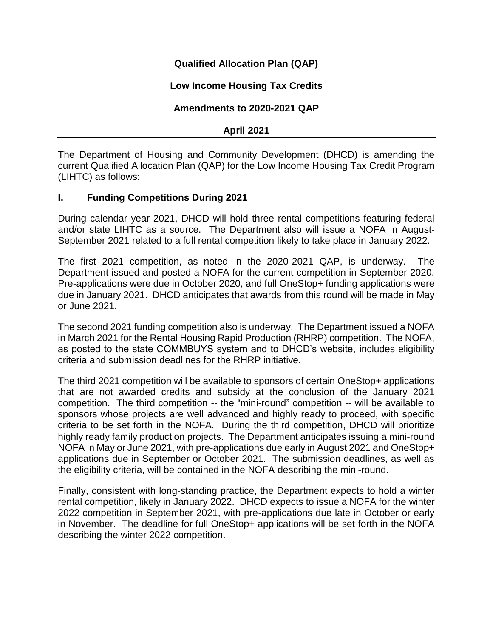# **Qualified Allocation Plan (QAP)**

# **Low Income Housing Tax Credits**

# **Amendments to 2020-2021 QAP**

### **April 2021**

The Department of Housing and Community Development (DHCD) is amending the current Qualified Allocation Plan (QAP) for the Low Income Housing Tax Credit Program (LIHTC) as follows:

## **I. Funding Competitions During 2021**

During calendar year 2021, DHCD will hold three rental competitions featuring federal and/or state LIHTC as a source. The Department also will issue a NOFA in August-September 2021 related to a full rental competition likely to take place in January 2022.

The first 2021 competition, as noted in the 2020-2021 QAP, is underway. The Department issued and posted a NOFA for the current competition in September 2020. Pre-applications were due in October 2020, and full OneStop+ funding applications were due in January 2021. DHCD anticipates that awards from this round will be made in May or June 2021.

The second 2021 funding competition also is underway. The Department issued a NOFA in March 2021 for the Rental Housing Rapid Production (RHRP) competition. The NOFA, as posted to the state COMMBUYS system and to DHCD's website, includes eligibility criteria and submission deadlines for the RHRP initiative.

The third 2021 competition will be available to sponsors of certain OneStop+ applications that are not awarded credits and subsidy at the conclusion of the January 2021 competition. The third competition -- the "mini-round" competition -- will be available to sponsors whose projects are well advanced and highly ready to proceed, with specific criteria to be set forth in the NOFA. During the third competition, DHCD will prioritize highly ready family production projects. The Department anticipates issuing a mini-round NOFA in May or June 2021, with pre-applications due early in August 2021 and OneStop+ applications due in September or October 2021. The submission deadlines, as well as the eligibility criteria, will be contained in the NOFA describing the mini-round.

Finally, consistent with long-standing practice, the Department expects to hold a winter rental competition, likely in January 2022. DHCD expects to issue a NOFA for the winter 2022 competition in September 2021, with pre-applications due late in October or early in November. The deadline for full OneStop+ applications will be set forth in the NOFA describing the winter 2022 competition.